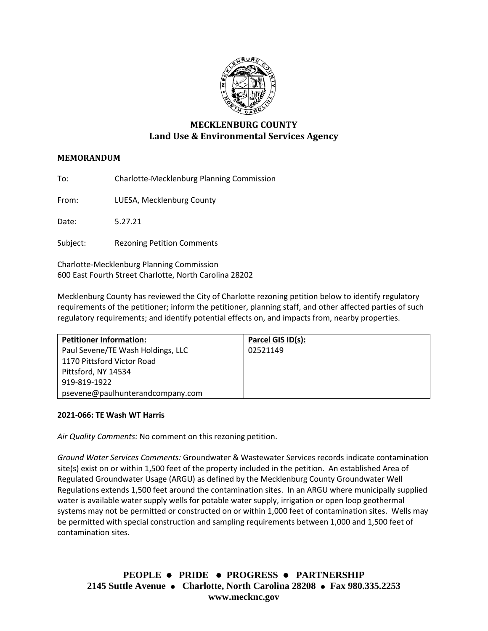

# **MECKLENBURG COUNTY Land Use & Environmental Services Agency**

# **MEMORANDUM**

To: Charlotte-Mecklenburg Planning Commission

From: LUESA, Mecklenburg County

Date: 5.27.21

Subject: Rezoning Petition Comments

Charlotte-Mecklenburg Planning Commission 600 East Fourth Street Charlotte, North Carolina 28202

Mecklenburg County has reviewed the City of Charlotte rezoning petition below to identify regulatory requirements of the petitioner; inform the petitioner, planning staff, and other affected parties of such regulatory requirements; and identify potential effects on, and impacts from, nearby properties.

| <b>Petitioner Information:</b>    | Parcel GIS ID(s): |
|-----------------------------------|-------------------|
| Paul Sevene/TE Wash Holdings, LLC | 02521149          |
| 1170 Pittsford Victor Road        |                   |
| Pittsford, NY 14534               |                   |
| 919-819-1922                      |                   |
| psevene@paulhunterandcompany.com  |                   |

#### **2021-066: TE Wash WT Harris**

*Air Quality Comments:* No comment on this rezoning petition.

*Ground Water Services Comments:* Groundwater & Wastewater Services records indicate contamination site(s) exist on or within 1,500 feet of the property included in the petition. An established Area of Regulated Groundwater Usage (ARGU) as defined by the Mecklenburg County Groundwater Well Regulations extends 1,500 feet around the contamination sites. In an ARGU where municipally supplied water is available water supply wells for potable water supply, irrigation or open loop geothermal systems may not be permitted or constructed on or within 1,000 feet of contamination sites. Wells may be permitted with special construction and sampling requirements between 1,000 and 1,500 feet of contamination sites.

**PEOPLE PRIDE PROGRESS PARTNERSHIP 2145 Suttle Avenue Charlotte, North Carolina 28208 Fax 980.335.2253 www.mecknc.gov**